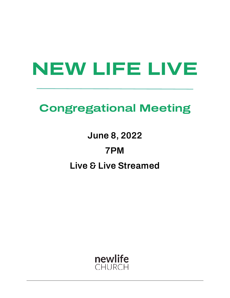# **NEW LIFE LIVE**

# **Congregational Meeting**

**June 8, 2022 7PM Live & Live Streamed** 

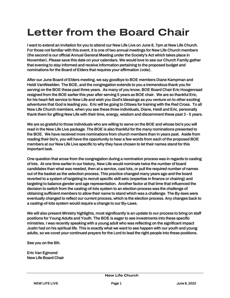# **Letter from the Board Chair**

I want to extend an invitation for you to attend our New Life Live on June 8, 7pm at New Life Church. For those not familiar with this event, it is one of two annual meetings for New Life Church members (the second is our official Annual General Meeting under the Society's Act which takes place in November). Please save this date on your calendars. We would love to see our Church Family gather that evening to stay informed and receive information pertaining to the proposed budget and nominations for the Board of Elders that requires your affirmation (vote).

After our June Board of Elders meeting, we say goodbye to BOE members Diane Kampman and Heidi VanWeelden. The BOE, and the congregation extends to you a tremendous thank you for serving on the BOE these past three years. As many of you know, BOE Board Chair Eric Hoogenraad resigned from the BOE earlier this year after serving 5 years as BOE chair. We are so thankful Eric, for his heart-felt service to New Life and wish you God's blessings as you venture on to other exciting adventures that God is leading you. Eric will be going to Ottawa for training with the Red Cross. To all New Life Church members, when you see these three individuals, Diane, Heidi and Eric, personally thank them for gifting New Life with their time, energy, wisdom and discernment these past 3 - 5 years.

We are so grateful to those individuals who are willing to serve on the BOE and whose bio's you will read in the New Life Live package. The BOE is also thankful for the many nominations presented to the BOE. We have received more nominations from church members than in years past. Aside from reading their bio's, you will have the opportunity to hear a few words from each of the proposed BOE members at our New Life Live specific to why they have chosen to let their names stand for this important task.

One question that arose from the congregation during a nomination process was in regards to casting of lots. At one time earlier in our history, New Life would nominate twice the number of board candidates than what was needed, then at a service, cast lots, or pull the required number of names out of the basket as the selection process. This practice changed many years ago and the board reverted to a system of targeting to recruit specific skill sets (expertise in finance or chairing) and targeting to balance gender and age representation. Another factor at that time that influenced the decision to switch from the casting-of-lots system to an election process was the challenge of obtaining sufficient members to allow their name to stand which was a challenge. The By-laws were eventually changed to reflect our current process, which is the election process. Any changes back to a casting-of-lots system would require a change to our By-Laws.

We will also present Ministry highlights, most significantly is an update to our process to bring on staff positions for Young Adults and Youth. The BOE is eager to see investments into these specific ministries. I was recently speaking with a young adult who was reflecting on the significant impact Justin had on his spiritual life. This is exactly what we want to see happen with our youth and young adults, so we covet your continued prayers for the Lord to lead the right people into these positions.

See you on the 8th.

Eric Van Egmond New Life Board Chair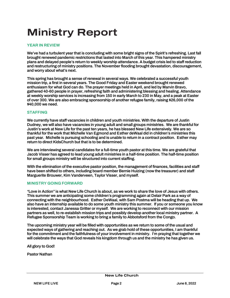# **Ministry Report**

#### **YEAR IN REVIEW**

We've had a turbulent year that is concluding with some bright signs of the Spirit's refreshing. Last fall brought renewed pandemic restrictions that lasted into March of this year. This hampered ministry plans and delayed people's return to weekly worship attendance. A budget crisis led to staff reduction and restructuring of ministry positions. The November flooding brought devastation, discouragement, and worry about what's next.

This spring has brought a sense of renewal in several ways. We celebrated a successful youth mission trip, a first in several years. The Good Friday and Easter weekend brought renewed enthusiasm for what God can do. The prayer meetings held in April, and led by Marvin Bravo, gathered 40-60 people in prayer, refreshing faith and administering blessing and healing. Attendance at weekly worship services is increasing from 150 in early March to 230 in May, and a peak at Easter of over 300. We are also embracing sponsorship of another refugee family, raising \$26,000 of the \$40,000 we need.

#### **STAFFING**

We currently have staff vacancies in children and youth ministries. With the departure of Justin Dudney, we will also have vacancies in young adult and small groups ministries. We are thankful for Justin's work at New Life for the past ten years, he has blessed New Life extensively. We are so thankful for the work that Michelle Van Egmond and Esther deWaal did in children's ministries this past year. Michelle is pursuing schooling and is unable to return in a contract position. Esther may return to direct KidsChurch but that is to be determined.

We are interviewing several candidates for a full-time youth pastor at this time. We are grateful that Jacob Visser has agreed to lead young adult ministries in a half-time position. The half-time position for small groups ministry will be structured into current staffing.

With the elimination of the executive pastor position, the management of finances, facilities and staff have been shifted to others, including board member Bernie Huizing (now the treasurer) and staff Marguerite Brouwer, Kim Vanderveen, Taylor Visser, and myself.

#### **MINISTRY GOING FORWARD**

"Love in Action" is what New Life Church is about, as we work to share the love of Jesus with others. This summer we are anticipating some children's programming again at Delair Park as a way of connecting with the neighbourhood. Esther DeWaal, with Sam Postma will be heading that up. We also have an internship available to do some youth ministry this summer. If you or someone you know is interested, contact Janessa Gritter or myself. We are working to reconnect with our mission partners as well, to re-establish mission trips and possibly develop another local ministry partner. A Refugee Sponsorship Team is working to bring a family to Abbotsford from the Congo.

The upcoming ministry year will be filled with opportunities as we return to some of the usual and expected ways of gathering and reaching out. As we grab hold of these opportunities, I am thankful for the commitment and the faithfulness of your involvement in ministry. I'm praying that together we will celebrate the ways that God reveals his kingdom through us and the ministry he has given us.

All glory to God!

Pastor Nathan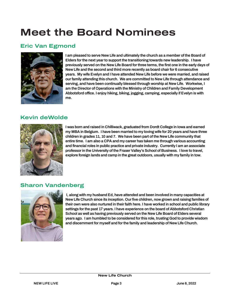# **Meet the Board Nominees**

#### **Eric Van Egmond**



I am pleased to serve New Life and ultimately the church as a member of the Board of Elders for the next year to support the transitioning towards new leadership. I have previously served on the New Life Board for three terms, the first one in the early days of New Life and the second and third more recently as board chair for 6 consecutive years. My wife Evelyn and I have attended New Life before we were married, and raised our family attending this church. We are committed to New Life through attendance and serving, and have been continually blessed through worship at New Life. Workwise, I am the Director of Operations with the Ministry of Children and Family Development Abbotsford office. I enjoy hiking, biking, jogging, camping, especially if Evelyn is with me.

### **Kevin deWolde**



I was born and raised in Chilliwack, graduated from Dordt College in Iowa and earned my MBA in Belgium. I have been married to my loving wife for 20 years and have three children in grades 11, 10 and 7. We have been part of the New Life community that entire time. I am also a CPA and my career has taken me through various accounting and financial roles in public practice and private industry. Currently I am an associate professor in the University of the Fraser Valley's School of Business. I love to travel, explore foreign lands and camp in the great outdoors, usually with my family in tow.

### **Sharon Vandenberg**



 I, along with my husband Ed, have attended and been involved in many capacities at New Life Church since its inception. Our five children, now grown and raising families of their own were also nurtured in their faith here. I have worked in school and public library settings for the past 17 years. I have experience on the board of Abbotsford Christian School as well as having previously served on the New Life Board of Elders several years ago. I am humbled to be considered for this role, trusting God to provide wisdom and discernment for myself and for the family and leadership of New Life Church.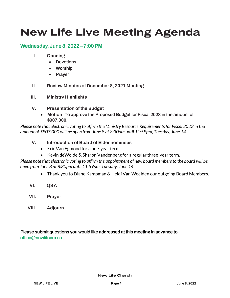# **New Life Live Meeting Agenda**

#### **Wednesday, June 8, 2022 – 7:00 PM**

- **I. Opening** 
	- Devotions
	- Worship
	- Prayer
- **II. Review Minutes of December 8, 2021 Meeting**
- **III. Ministry Highlights**
- **IV. Presentation of the Budget** 
	- **Motion:** To approve the Proposed Budget for Fiscal 2023 in the amount of \$907,000.

*Please note that electronic voting to affirm the Ministry Resource Requirements for Fiscal 2023 in the amount of \$907,000 will be open from June 8 at 8:30pm until 11:59pm, Tuesday, June 14.* 

- **V. Introduction of Board of Elder nominees** 
	- Eric Van Egmond for a one-year term,
	- Kevin deWolde & Sharon Vandenberg for a regular three-year term.

*Please note that electronic voting to affirm the appointment of new board members to the board will be open from June 8 at 8:30pm until 11:59pm, Tuesday, June 14.* 

- Thank you to Diane Kampman & Heidi Van Weelden our outgoing Board Members.
- **VI. Q&A**
- **VII. Prayer**
- **VIII. Adjourn**

Please submit questions you would like addressed at this meeting in advance to [office@newlifecrc.ca.](mailto:office@newlifecrc.ca)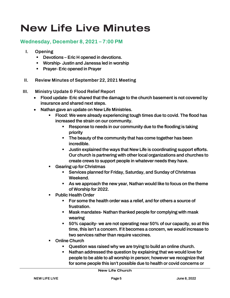# **New Life Live Minutes**

#### **Wednesday, December 8, 2021 – 7:00 PM**

- **I. Opening** 
	- Devotions Eric H opened in devotions.
	- Worship- Justin and Janessa led in worship
	- Prayer- Eric opened in Prayer
- **II. Review Minutes of September 22, 2021 Meeting**
- **III. Ministry Update & Flood Relief Report** 
	- Flood update- Eric shared that the damage to the church basement is not covered by insurance and shared next steps.
	- Nathan gave an update on New Life Ministries.
		- Flood: We were already experiencing tough times due to covid. The flood has increased the strain on our community.
			- Response to needs in our community due to the flooding is taking priority
			- The beauty of the community that has come together has been incredible.
			- Justin explained the ways that New Life is coordinating support efforts. Our church is partnering with other local organizations and churches to create crews to support people in whatever needs they have.
		- Gearing up for Christmas
			- Services planned for Friday, Saturday, and Sunday of Christmas Weekend.
			- As we approach the new year, Nathan would like to focus on the theme of Worship for 2022.
		- Public Health Order
			- For some the health order was a relief, and for others a source of frustration.
			- Mask mandates- Nathan thanked people for complying with mask wearing
			- 50% capacity- we are not operating near 50% of our capacity, so at this time, this isn't a concern. If it becomes a concern, we would increase to two services rather than require vaccines.
		- Online Church
			- Question was raised why we are trying to build an online church.
			- Nathan addressed the question by explaining that we would love for people to be able to all worship in person; however we recognize that for some people this isn't possible due to health or covid concerns or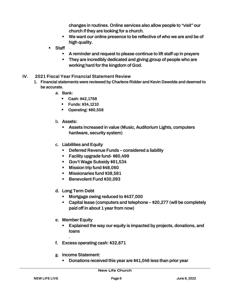changes in routines. Online services also allow people to "visit" our church if they are looking for a church.

- We want our online presence to be reflective of who we are and be of high quality.
- **Staff** 
	- A reminder and request to please continue to lift staff up in prayers
	- **EXECT** They are incredibly dedicated and giving group of people who are working hard for the kingdom of God.
- **IV. 2021 Fiscal Year Financial Statement Review** 
	- 1. Financial statements were reviewed by Charlene Ridder and Kevin Dewolde and deemed to be accurate.
		- **a.** Bank:
			- Cash: \$42,1768
			- Funds: \$34,1210
			- Operating: \$80,558
		- b. Assets:
			- Assets increased in value (Music, Auditorium Lights, computers hardware, security system)
		- **c.** Liabilities and Equity
			- Deferred Revenue Funds considered a liability
			- Facility upgrade fund- \$80,499
			- Gov't Wage Subsidy \$91,534
			- Mission trip fund \$48,060
			- Missionaries fund \$38,581
			- Benevolent Fund \$30,093
		- **d.** Long Term Debt
			- Mortgage owing reduced to \$437,000
			- Capital lease (computers and telephone \$20,277 (will be completely paid off in about 1 year from now)
		- **e.** Member Equity

.

- Explained the way our equity is impacted by projects, donations, and loans
- **f.** Excess operating cash: \$32,871
- **g.** Income Statement:
	- Donations received this year are \$41,046 less than prior year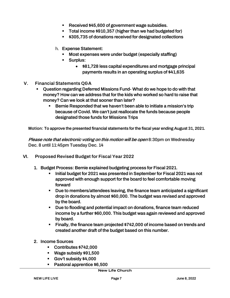- Received \$45,600 of government wage subsidies.
- Total income \$910,357 (higher than we had budgeted for)
- \$305,735 of donations received for designated collections
- h. Expense Statement:
	- Most expenses were under budget (especially staffing)
	- Surplus:
		- \$81,728 less capital expenditures and mortgage principal payments results in an operating surplus of \$41,635
- **V. Financial Statements Q&A** 
	- Question regarding Deferred Missions Fund- What do we hope to do with that money? How can we address that for the kids who worked so hard to raise that money? Can we look at that sooner than later?
		- Bernie Responded that we haven't been able to initiate a mission's trip because of Covid. We can't just reallocate the funds because people designated those funds for Missions Trips

**Motion:** To approve the presented financial statements for the fiscal year ending August 31, 2021.

Please note that electronic voting on this motion will be open 8:30pm on Wednesday Dec. 8 until 11:45pm Tuesday Dec. 14

- VI. **Proposed Revised Budget for Fiscal Year 2022**
	- 1. Budget Process: Bernie explained budgeting process for Fiscal 2021.
		- Initial budget for 2021 was presented in September for Fiscal 2021 was not approved with enough support for the board to feel comfortable moving forward
		- Due to members/attendees leaving, the finance team anticipated a significant drop in donations by almost \$60,000. The budget was revised and approved by the board.
		- Due to flooding and potential impact on donations, finance team reduced income by a further \$60,000. This budget was again reviewed and approved by board.
		- Finally, the finance team projected \$742,000 of income based on trends and created another draft of the budget based on this number.
	- 2. Income Sources
		- Contributes \$742,000
		- Wage subsidy \$91,500
		- Gov't subsidy \$4,000
		- Pastoral apprentice \$6,500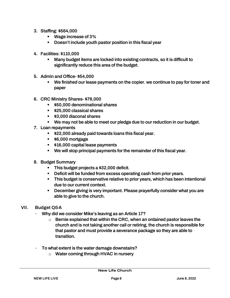- 3. Staffing: \$564,000
	- Wage increase of 3<sup>%</sup>
	- Doesn't include youth pastor position in this fiscal year
- 4. Facilities: \$110,000
	- Many budget items are locked into existing contracts, so it is difficult to significantly reduce this area of the budget.
- 5. Admin and Office- \$54,000
	- We finished our lease payments on the copier. we continue to pay for toner and paper
- 6. CRC Ministry Shares- \$78,000
	- \$50,000 denominational shares
	- \$25,000 classical shares
	- \$3,000 diaconal shares
	- We may not be able to meet our pledge due to our reduction in our budget.
- 7. Loan repayments
	- \$22,000 already paid towards loans this fiscal year.
	- \$6,000 mortgage
	- **.** \$16,000 capital lease payments
	- We will stop principal payments for the remainder of this fiscal year.
- 8. Budget Summary
	- This budget projects a \$32,000 deficit.
	- Deficit will be funded from excess operating cash from prior years.
	- This budget is conservative relative to prior years, which has been intentional due to our current context.
	- December giving is very important. Please prayerfully consider what you are able to give to the church.
- **VII. Budget Q&A** 
	- Why did we consider Mike's leaving as an Article 17?
		- $\circ$  Bernie explained that within the CRC, when an ordained pastor leaves the church and is not taking another call or retiring, the church is responsible for that pastor and must provide a severance package so they are able to transition.
	- To what extent is the water damage downstairs?
		- o Water coming through HVAC in nursery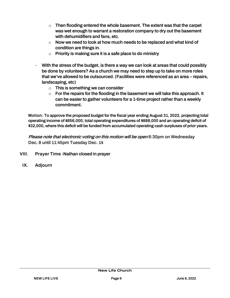- $\circ$  Then flooding entered the whole basement. The extent was that the carpet was wet enough to warrant a restoration company to dry out the basement with dehumidifiers and fans, etc.
- $\circ$  Now we need to look at how much needs to be replaced and what kind of condition are things in.
- $\circ$  Priority is making sure it is a safe place to do ministry
- With the stress of the budget, is there a way we can look at areas that could possibly be done by volunteers? As a church we may need to step up to take on more roles that we've allowed to be outsourced. (Facilities were referenced as an area – repairs, landscaping, etc)
	- $\circ$  This is something we can consider
	- $\circ$  For the repairs for the flooding in the basement we will take this approach. It can be easier to gather volunteers for a 1-time project rather than a weekly commitment.

**Motion:** To approve the proposed budget for the fiscal year ending August 31, 2022, projecting total operating income of \$856,000, total operating expenditures of \$888,000 and an operating deficit of \$32,000, where this deficit will be funded from accumulated operating cash surpluses of prior years.

Please note that electronic voting on this motion will be open 8:30pm on Wednesday Dec. 8 until 11:45pm Tuesday Dec. 14

- **VIII. Prayer Time -**Nathan closed in prayer
- **IX. Adjourn**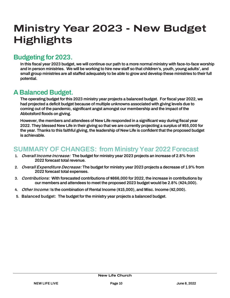# **Ministry Year 2023 - New Budget Highlights**

### Budgeting for 2023.

In this fiscal year 2023 budget, we will continue our path to a more normal ministry with face-to-face worship and in person ministries. We will be working to hire new staff so that children's, youth, young adults', and small group ministries are all staffed adequately to be able to grow and develop these ministries to their full potential.

### A Balanced Budget.

The operating budget for this 2023 ministry year projects a balanced budget. For fiscal year 2022, we had projected a deficit budget because of multiple unknowns associated with giving levels due to coming out of the pandemic, significant angst amongst our membership and the impact of the Abbotsford floods on giving.

However, the members and attendees of New Life responded in a significant way during fiscal year 2022. They blessed New Life in their giving so that we are currently projecting a surplus of \$55,000 for the year. Thanks to this faithful giving, the leadership of New Life is confident that the proposed budget is achievable.

### SUMMARY OF CHANGES: from Ministry Year 2022 Forecast

- 1. **Overall Income Increase:** The budget for ministry year 2023 projects an increase of 2.8% from 2022 forecast total revenue.
- 2. **Overall Expenditure Decrease:** The budget for ministry year 2023 projects a decrease of 1.9% from 2022 forecast total expenses.
- 3. **Contributions:** With forecasted contributions of \$866,000 for 2022, the increase in contributions by our members and attendees to meet the proposed 2023 budget would be 2.8% (\$24,000).
- 4. **Other Income:** Is the combination of Rental Income (\$15,000), and Misc. Income (\$2,000).
- 5. **Balanced budget:** The budget for the ministry year projects a balanced budget.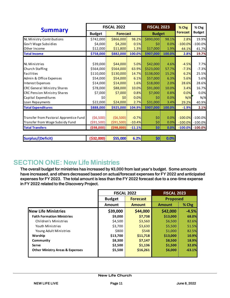| <b>Summary</b>                         | <b>FISCAL 2022</b> |             |          | <b>FISCAL 2023</b> |        | % Chg<br><b>Forecast</b> | % Chg<br><b>Budget</b> |
|----------------------------------------|--------------------|-------------|----------|--------------------|--------|--------------------------|------------------------|
| <b>Budget</b><br><b>Forecast</b>       |                    |             |          | <b>Budget</b>      |        |                          |                        |
| NL Ministry Contributions              | \$742,000          | \$866,000   | 98.2%    | \$890,000          | 98.1%  | 2.8%                     | 19.9%                  |
| Gov't Wage Subsidies                   | \$4,000            | \$4,200     | 0.5%     | \$0                | 0.0%   | $-100.0%$                | $-100.0%$              |
| Other Income                           | \$12,000           | \$11,800    | 1.3%     | \$17,000           | 1.9%   | 44.1%                    | 41.7%                  |
| <b>Total Income</b>                    | \$758,000          | \$882,000   | 100.0%   | \$907,000          | 100.0% | 2.8%                     | 19.7%                  |
| <b>NL Ministries</b>                   | \$39,000           | \$44,000    | 5.0%     | \$42,000           | 4.6%   | $-4.5%$                  | 7.7%                   |
| Church Staffing                        | \$564,000          | \$564,000   | 63.9%    | \$523,000          | 57.7%  | $-7.3%$                  | $-7.3%$                |
| Facilities                             | \$110,000          | \$130,000   | 14.7%    | \$138,000          | 15.2%  | 6.2%                     | 25.5%                  |
| Admin & Office Expenses                | \$54,000           | \$54,000    | 6.1%     | \$57,000           | 6.3%   | 5.6%                     | 5.6%                   |
| <b>Interest Expenses</b>               | \$14,000           | \$14,000    | 1.6%     | \$18,000           | 2.0%   | 28.6%                    | 28.6%                  |
| <b>CRC General Ministry Shares</b>     | \$78,000           | \$88,000    | 10.0%    | \$91,000           | 10.0%  | 3.4%                     | 16.7%                  |
| <b>CRC Pension Ministry Shares</b>     | \$7,000            | \$7,000     | 0.8%     | \$7,000            | 0.8%   | 0.0%                     | 0.0%                   |
| Capital Expenditures                   | \$0                | \$0         | 0.0%     | \$0                | 0.0%   | N/A                      | N/A                    |
| Loan Repayments                        | \$22,000           | \$24,000    | 2.7%     | \$31,000           | 3.4%   | 29.2%                    | 40.9%                  |
| <b>Total Expenditures</b>              | \$888,000          | \$925,000   | 104.9%   | \$907,000          | 100.0% | $-1.9%$                  | 2.1%                   |
|                                        |                    |             |          |                    |        |                          |                        |
| Transfer from Pastoral Apprentice Fund | (56,500)           | (56,500)    | $-0.7%$  | \$0                | 0.0%   | $-100.0%$                | $-100.0%$              |
| Transfer from Wage Subsidy Fund        | ( \$91,500)        | ( \$91,500) | $-10.4%$ | \$0                | 0.0%   | $-100.0%$                | $-100.0%$              |
| <b>Total Transfers</b>                 | (\$98,000)         | ( \$98,000) | $-11.1%$ | \$0                | 0.0%   | $-100.0%$                | $-100.0%$              |
|                                        |                    |             |          |                    |        |                          |                        |
| <b>Surplus/(Deficit)</b>               | (\$32,000)         | \$55,000    | 6.2%     | \$0]               | 0.0%   |                          |                        |

### SECTION ONE: New Life Ministries

The overall budget for ministries has increased by \$3,000 from last year's budget. Some amounts have increased, and others decreased based on actual/forecast expenses for FY 2022 and anticipated expenses for FY 2023. The total amount is less than the FY 2022 forecast due to a one-time expense in FY 2022 related to the Discovery Project.

|                                            |               | <b>FISCAL 2022</b> | <b>FISCAL 2023</b> |                 |  |  |
|--------------------------------------------|---------------|--------------------|--------------------|-----------------|--|--|
|                                            | <b>Budget</b> | <b>Forecast</b>    |                    | <b>Proposed</b> |  |  |
|                                            | <b>Amount</b> | <b>Amount</b>      | <b>Amount</b>      | % Chg           |  |  |
| <b>New Life Ministries</b>                 | \$39,000      | \$44,000           | \$42,000           | $-4.5%$         |  |  |
| <b>Faith Formation Ministries</b>          | \$9,000       | \$7,738            | \$13,000           | 68.0%           |  |  |
| Children's Ministries                      | \$4,500       | \$3,560            | \$6,500            | 82.6%           |  |  |
| Youth Ministries                           | \$3,700       | \$3,630            | \$5,500            | 51.5%           |  |  |
| Young Adult Ministries                     | \$800         | \$548              | \$1,000            | 82.5%           |  |  |
| Worship                                    | \$13,700      | \$11,718           | \$13,000           | 10.9%           |  |  |
| Community                                  | \$8,300       | \$7,147            | \$8,500            | 18.9%           |  |  |
| <b>Serve</b>                               | \$2,500       | \$1,136            | \$1,500            | 32.0%           |  |  |
| <b>Other Ministry Areas &amp; Expenses</b> | \$5,500       | \$16,261           | \$6,000            | $-63.1%$        |  |  |
|                                            |               |                    |                    |                 |  |  |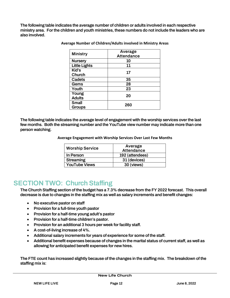The following table indicates the average number of children or adults involved in each respective ministry area. For the children and youth ministries, these numbers do not include the leaders who are also involved.

| <b>Ministry</b>               | Average<br><b>Attendance</b> |
|-------------------------------|------------------------------|
| <b>Nursery</b>                | 10                           |
| <b>Little Lights</b>          | 11                           |
| Kid's<br>Church               | 17                           |
| <b>Cadets</b>                 | 35                           |
| Gems                          | 28                           |
| Youth                         | 23                           |
| Young<br><b>Adults</b>        | 20                           |
| <b>Small</b><br><b>Groups</b> | 260                          |

**Average Number of Children/Adults involved in Ministry Areas** 

The following table indicates the average level of engagement with the worship services over the last few months. Both the streaming number and the YouTube view number may indicate more than one person watching.

**Average Engagement with Worship Services Over Last Few Months** 

|                        | Average           |
|------------------------|-------------------|
| <b>Worship Service</b> | <b>Attendance</b> |
| In Person              | 192 (attendees)   |
| <b>Streaming</b>       | 31 (devices)      |
| <b>YouTube Views</b>   | 30 (views)        |

### SECTION TWO: Church Staffing

The Church Staffing section of the budget has a 7.3% decrease from the FY 2022 forecast. This overall decrease is due to changes in the staffing mix as well as salary increments and benefit changes:

- No executive pastor on staff
- Provision for a full-time youth pastor
- Provision for a half-time young adult's pastor
- Provision for a half-time children's pastor.
- Provision for an additional 3 hours per week for facility staff.
- A cost-of-living increase of 4%.
- Additional salary increments for years of experience for some of the staff.
- Additional benefit expenses because of changes in the marital status of current staff, as well as allowing for anticipated benefit expenses for new hires.

The FTE count has increased slightly because of the changes in the staffing mix. The breakdown of the staffing mix is: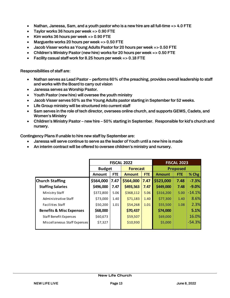- Nathan, Janessa, Sam, and a youth pastor who is a new hire are all full-time => 4.0 FTE
- Taylor works 36 hours per week => 0.90 FTE
- Kim works 36 hours per week => 0.90 FTE
- Marguerite works 20 hours per week => 0.50 FTE
- Jacob Visser works as Young Adults Pastor for 20 hours per week => 0.50 FTE
- Children's Ministry Pastor (new hire) works for 20 hours per week => 0.50 FTE
- Facility casual staff work for 8.25 hours per week => 0.18 FTE

Responsibilities of staff are:

- Nathan serves as Lead Pastor performs 60% of the preaching, provides overall leadership to staff and works with the Board to carry out vision
- Janessa serves as Worship Pastor.
- Youth Pastor (new hire) will oversee the youth ministry
- Jacob Visser serves 50% as the Young Adults pastor starting in September for 52 weeks.
- Life Group ministry will be structured into current staff
- Sam serves in the role of tech director, oversees online church, and supports GEMS, Cadets, and Women's Ministry
- Children's Ministry Pastor new hire 50% starting in September. Responsible for kid's church and nursery.

Contingency Plans if unable to hire new staff by September are:

- Janessa will serve continue to serve as the leader of Youth until a new hire is made
- An interim contract will be offered to oversee children's ministry and nursery.

|                                     | <b>FISCAL 2022</b> |            |                 |            | <b>FISCAL 2023</b> |            |          |
|-------------------------------------|--------------------|------------|-----------------|------------|--------------------|------------|----------|
|                                     | <b>Budget</b>      |            | <b>Forecast</b> |            | <b>Proposed</b>    |            |          |
|                                     | Amount             | <b>FTE</b> | <b>Amount</b>   | <b>FTE</b> | <b>Amount</b>      | <b>FTE</b> | % Chg    |
| <b>Church Staffing</b>              | \$564,000          | 7.47       | \$564,000       | 7.47       | \$523,000          | 7.48       | $-7.3%$  |
| <b>Staffing Salaries</b>            | \$496,000          | 7.47       | \$493,563       | 7.47       | \$449,000          | 7.48       | $-9.0%$  |
| Ministry Staff                      | \$372,800          | 5.06       | \$368,112       | 5.06       | \$316,200          | 5.00       | $-14.1%$ |
| Administrative Staff                | \$73,000           | 1.40       | \$71,183        | 1.40       | \$77,300           | 1.40       | 8.6%     |
| Facilities Staff                    | \$50,200           | 1.01       | \$54,268        | 1.01       | \$55,500           | 1.08       | 2.3%     |
| <b>Benefits &amp; Misc Expenses</b> | \$68,000           |            | \$70,437        |            | \$74,000           |            | 5.1%     |
| <b>Staff Benefit Expenses</b>       | \$60,673           |            | \$59,507        |            | \$69,000           |            | 16.0%    |
| Miscellaneous Staff Expenses        | \$7,327            |            | \$10,930        |            | \$5,000            |            | $-54.3%$ |
|                                     |                    |            |                 |            |                    |            |          |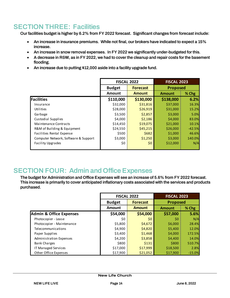### SECTION THREE: Facilities

Our facilities budget is higher by 6.2% from FY 2022 forecast. Significant changes from forecast include:

- An increase in insurance premiums. While not final, our brokers have indicated to expect a 15% increase.
- An increase in snow removal expenses. In FY 2022 we significantly under-budgeted for this.
- A decrease in R&M, as in FY 2022, we had to cover the cleanup and repair costs for the basement flooding.
- An increase due to putting \$12,000 aside into a facility upgrade fund.

|                                      |               | <b>FISCAL 2022</b> | <b>FISCAL 2023</b> |          |  |
|--------------------------------------|---------------|--------------------|--------------------|----------|--|
|                                      | <b>Budget</b> | <b>Forecast</b>    | <b>Proposed</b>    |          |  |
|                                      | <b>Amount</b> | <b>Amount</b>      | <b>Amount</b>      | % Chg    |  |
| <b>Facilities</b>                    | \$110,000     | \$130,000          | \$138,000          | 6.2%     |  |
| Insurance                            | \$32,000      | \$31,816           | \$37,000           | 16.3%    |  |
| Utilities                            | \$28,000      | \$26,919           | \$31,000           | 15.2%    |  |
| Garbage                              | \$3,500       | \$2,857            | \$3,000            | 5.0%     |  |
| Custodial Supplies                   | \$4,000       | \$2,186            | \$4,000            | 83.0%    |  |
| Maintenance Contracts                | \$14,450      | \$19,075           | \$21,000           | 10.1%    |  |
| R&M of Building & Equipment          | \$24,550      | \$45,215           | \$26,000           | $-42.5%$ |  |
| Facilities Rental Expense            | \$500         | \$682              | \$1,000            | 46.6%    |  |
| Computer Network, Software & Support | \$3,000       | \$1,250            | \$3,000            | 140.0%   |  |
| <b>Facility Upgrades</b>             | \$0           | \$0                | \$12,000           | N/A      |  |

### SECTION FOUR: Admin and Office Expenses

The budget for Administration and Office Expenses will see an increase of 5.6% from FY 2022 forecast. This increase is primarily to cover anticipated inflationary costs associated with the services and products purchased.

|                                    |               | <b>FISCAL 2022</b> | <b>FISCAL 2023</b> |          |  |
|------------------------------------|---------------|--------------------|--------------------|----------|--|
|                                    | <b>Budget</b> | <b>Forecast</b>    | <b>Proposed</b>    |          |  |
|                                    | <b>Amount</b> | <b>Amount</b>      | <b>Amount</b>      | % Chg    |  |
| <b>Admin &amp; Office Expenses</b> | \$54,000      | \$54,000           | \$57,000           | 5.6%     |  |
| Photocopier - Lease                | \$0           | \$0                | \$0                | N/A      |  |
| Photocopier - Maintenance          | \$5,800       | \$4,672            | \$6,000            | 28.4%    |  |
| Telecommunications                 | \$4,900       | \$4,820            | \$5,400            | 12.0%    |  |
| Paper Supplies                     | \$3,400       | \$1,468            | \$4,000            | 172.5%   |  |
| Administration Expenses            | \$4,200       | \$3,858            | \$4,400            | 14.0%    |  |
| <b>Bank Charges</b>                | \$800         | \$131              | \$800              | 510.7%   |  |
| IT Managed Services                | \$17,000      | \$17,999           | \$18,500           | 2.8%     |  |
| Other Office Expenses              | \$17,900      | \$21,052           | \$17,900           | $-15.0%$ |  |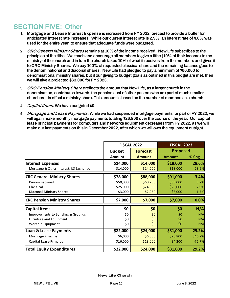## SECTION FIVE: Other

- 1. **Mortgage and Lease Interest Expense** is increased from FY 2022 forecast to provide a buffer for anticipated interest rate increases. While our current interest rate is 2.9%, an interest rate of 4.0% was used for the entire year, to ensure that adequate funds were budgeted.
- 2. **CRC General Ministry Shares** remains at 10% of the income received. New Life subscribes to the principles of the tithe. We teach and encourage all members to give a tithe (10% of their income) to the ministry of the church and in turn the church takes 10% of what it receives from the members and gives it to CRC Ministry Shares. We pay 100% of requested classical share and the remaining balance goes to the denominational and diaconal shares. New Life had pledged to pay a minimum of \$60,000 to denominational ministry shares, but if our giving to budget goals as outlined in this budget are met, then we will give a projected \$63,000 for FY 2023.
- 3. **CRC Pension Ministry Shares** reflects the amount that New Life, as a larger church in the denomination, contributes towards the pension cost of other pastors who are part of much smaller churches – in effect a ministry share. This amount is based on the number of members in a church.
- 4. **Capital Items**. We have budgeted \$0.
- 5. **Mortgage and Lease Payments.** While we had suspended mortgage payments for part of FY 2022, we will again make monthly mortgage payments totaling \$26,800 over the course of the year. Our capital lease principal payments for computers and networks equipment decreases from FY 2022, as we will make our last payments on this in December 2022, after which we will own the equipment outright.

|                                        |                                  | <b>FISCAL 2022</b> | <b>FISCAL 2023</b> |          |  |
|----------------------------------------|----------------------------------|--------------------|--------------------|----------|--|
|                                        | <b>Budget</b><br><b>Forecast</b> |                    | <b>Proposed</b>    |          |  |
|                                        | <b>Amount</b>                    | <b>Amount</b>      | <b>Amount</b>      | % Chg    |  |
| Interest Expenses                      | \$14,000                         | \$14,000           | \$18,000           | 28.6%    |  |
| Mortgage & Other Interest, US Exchange | \$14,000                         | \$14,000           | \$18,000           | 28.6%    |  |
| <b>CRC General Ministry Shares</b>     | \$78,000                         | \$88,000           | \$91,000           | 3.4%     |  |
| Denominational                         | \$50,000                         | \$60,750           | \$63,000           | 3.7%     |  |
| Classical                              | \$25,000                         | \$24,300           | \$25,000           | 2.9%     |  |
| Diaconal Ministry Shares               | \$3,000                          | \$2,950            | \$3,000            | 1.7%     |  |
| <b>CRC Pension Ministry Shares</b>     | \$7,000                          | \$7,000            | \$7,000            | 0.0%     |  |
| <b>Capital Items</b>                   | \$0                              | \$0                | \$0                | N/A      |  |
| Improvements to Building & Grounds     | \$0                              | \$0                | \$0                | N/A      |  |
| Furniture and Equipment                | \$0                              | \$0                | \$0                | N/A      |  |
| Worship Equipment                      | \$0                              | \$0                | \$0                | N/A      |  |
| <b>Loan &amp; Lease Payments</b>       | \$22,000                         | \$24,000           | \$31,000           | 29.2%    |  |
| Mortgage Principal                     | \$6,000                          | \$6,000            | \$26,800           | 346.7%   |  |
| Capital Lease Principal                | \$16,000                         | \$18,000           | \$4,200            | $-76.7%$ |  |
| <b>Total Equity Expenditures</b>       | \$22,000                         | \$24,000           | \$31,000           | 29.2%    |  |